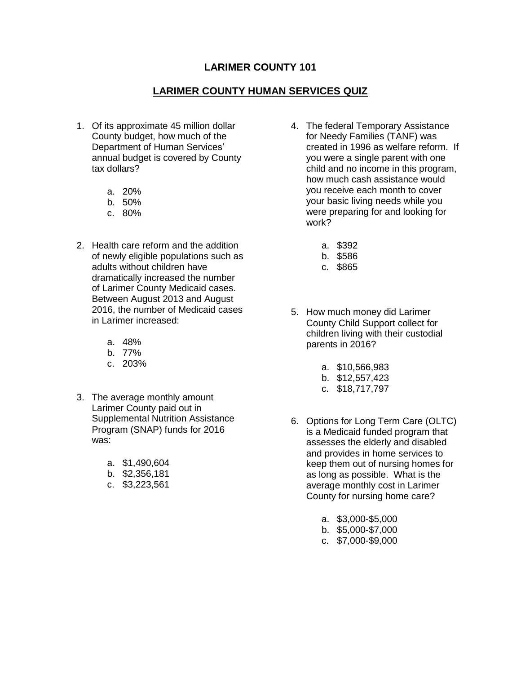## **LARIMER COUNTY 101**

## **LARIMER COUNTY HUMAN SERVICES QUIZ**

- 1. Of its approximate 45 million dollar County budget, how much of the Department of Human Services' annual budget is covered by County tax dollars?
	- a. 20%
	- b. 50%
	- c. 80%
- 2. Health care reform and the addition of newly eligible populations such as dramatically increased the number of Larimer County Medicaid cases. Between August 2013 and August 2016, the number of Medicaid cases adults without children have in Larimer increased:
	- a. 48%
	- b. 77%
	- c. 203%
- 3. The average monthly amount Larimer County paid out in Supplemental Nutrition Assistance Program (SNAP) funds for 2016 was:
	- a. \$1,490,604
	- b. \$2,356,181
	- c. \$3,223,561
- 4. The federal Temporary Assistance for Needy Families (TANF) was created in 1996 as welfare reform. If how much cash assistance would your basic living needs while you were preparing for and looking for you were a single parent with one child and no income in this program, you receive each month to cover work?
	- a. \$392
	- b. \$586
	- c. \$865
- 5. How much money did Larimer County Child Support collect for children living with their custodial parents in 2016?
	- a. \$10,566,983
	- b. \$12,557,423
	- c. \$18,717,797
- 6. Options for Long Term Care (OLTC) is a Medicaid funded program that assesses the elderly and disabled keep them out of nursing homes for as long as possible. What is the average monthly cost in Larimer County for nursing home care? and provides in home services to
	- a. \$3,000-\$5,000
	- b. \$5,000-\$7,000
	- c. \$7,000-\$9,000